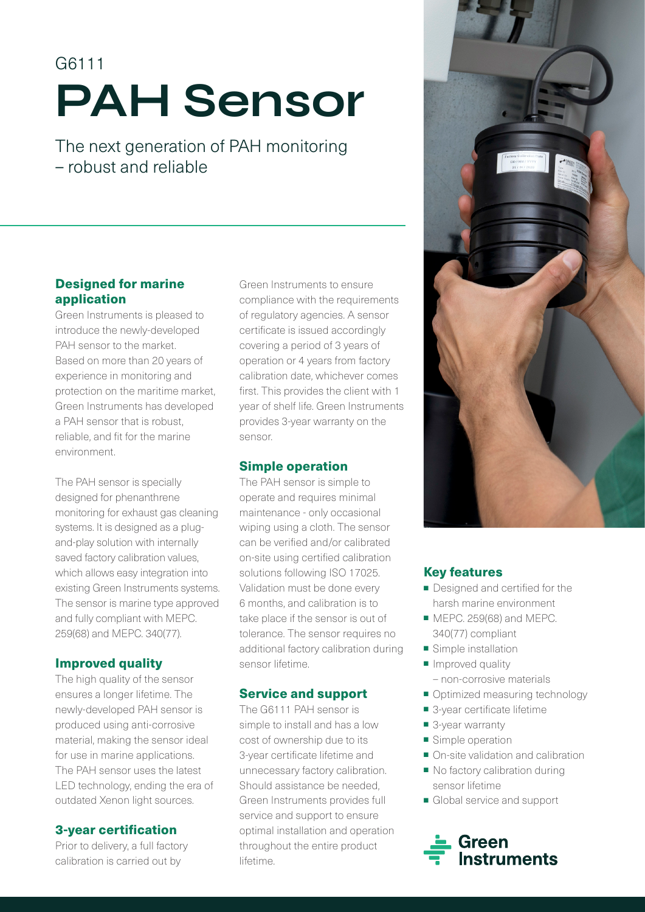# G6111 PAH Sensor

The next generation of PAH monitoring – robust and reliable

# Designed for marine application

Green Instruments is pleased to introduce the newly-developed PAH sensor to the market. Based on more than 20 years of experience in monitoring and protection on the maritime market, Green Instruments has developed a PAH sensor that is robust, reliable, and fit for the marine environment.

The PAH sensor is specially designed for phenanthrene monitoring for exhaust gas cleaning systems. It is designed as a plugand-play solution with internally saved factory calibration values, which allows easy integration into existing Green Instruments systems. The sensor is marine type approved and fully compliant with MEPC. 259(68) and MEPC. 340(77).

# Improved quality

The high quality of the sensor ensures a longer lifetime. The newly-developed PAH sensor is produced using anti-corrosive material, making the sensor ideal for use in marine applications. The PAH sensor uses the latest LED technology, ending the era of outdated Xenon light sources.

# 3-year certification

Prior to delivery, a full factory calibration is carried out by

Green Instruments to ensure compliance with the requirements of regulatory agencies. A sensor certificate is issued accordingly covering a period of 3 years of operation or 4 years from factory calibration date, whichever comes first. This provides the client with 1 year of shelf life. Green Instruments provides 3-year warranty on the sensor.

# Simple operation

The PAH sensor is simple to operate and requires minimal maintenance - only occasional wiping using a cloth. The sensor can be verified and/or calibrated on-site using certified calibration solutions following ISO 17025. Validation must be done every 6 months, and calibration is to take place if the sensor is out of tolerance. The sensor requires no additional factory calibration during sensor lifetime.

# Service and support

The G6111 PAH sensor is simple to install and has a low cost of ownership due to its 3-year certificate lifetime and unnecessary factory calibration. Should assistance be needed, Green Instruments provides full service and support to ensure optimal installation and operation throughout the entire product lifetime.



# Key features

- Designed and certified for the harsh marine environment
- MEPC. 259(68) and MEPC. 340(77) compliant
- Simple installation
- Improved quality
- non-corrosive materials
- Optimized measuring technology
- 3-year certificate lifetime
- 3-year warranty
- Simple operation
- On-site validation and calibration
- No factory calibration during sensor lifetime
- Global service and support